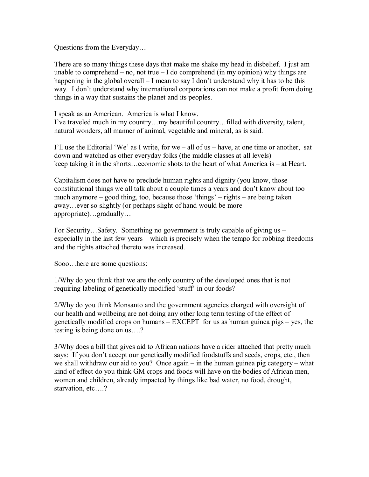Questions from the Everyday…

There are so many things these days that make me shake my head in disbelief. I just am unable to comprehend – no, not true – I do comprehend (in my opinion) why things are happening in the global overall – I mean to say I don't understand why it has to be this way. I don't understand why international corporations can not make a profit from doing things in a way that sustains the planet and its peoples.

I speak as an American. America is what I know.

I've traveled much in my country…my beautiful country…filled with diversity, talent, natural wonders, all manner of animal, vegetable and mineral, as is said.

I'll use the Editorial 'We' as I write, for we – all of us – have, at one time or another, sat down and watched as other everyday folks (the middle classes at all levels) keep taking it in the shorts…economic shots to the heart of what America is – at Heart.

Capitalism does not have to preclude human rights and dignity (you know, those constitutional things we all talk about a couple times a years and don't know about too much anymore – good thing, too, because those 'things' – rights – are being taken away…ever so slightly (or perhaps slight of hand would be more appropriate)…gradually…

For Security…Safety. Something no government is truly capable of giving us – especially in the last few years – which is precisely when the tempo for robbing freedoms and the rights attached thereto was increased.

Sooo…here are some questions:

1/Why do you think that we are the only country of the developed ones that is not requiring labeling of genetically modified 'stuff' in our foods?

2/Why do you think Monsanto and the government agencies charged with oversight of our health and wellbeing are not doing any other long term testing of the effect of genetically modified crops on humans – EXCEPT for us as human guinea pigs – yes, the testing is being done on us….?

3/Why does a bill that gives aid to African nations have a rider attached that pretty much says: If you don't accept our genetically modified foodstuffs and seeds, crops, etc., then we shall withdraw our aid to you? Once again – in the human guinea pig category – what kind of effect do you think GM crops and foods will have on the bodies of African men, women and children, already impacted by things like bad water, no food, drought, starvation, etc….?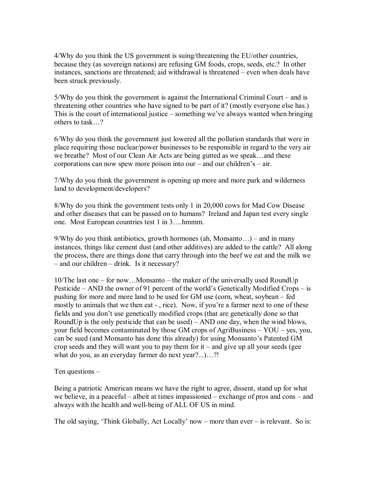4/Why do you think the US government is suing/threatening the EU/other countries, because they (as sovereign nations) are refusing GM foods, crops, seeds, etc.? In other instances, sanctions are threatened; aid withdrawal is threatened – even when deals have been struck previously.

 $5/W$ hy do you think the government is against the International Criminal Court – and is threatening other countries who have signed to be part of it? (mostly everyone else has.) This is the court of international justice – something we've always wanted when bringing others to task…?

6/Why do you think the government just lowered all the pollution standards that were in place requiring those nuclear/power businesses to be responsible in regard to the very air we breathe? Most of our Clean Air Acts are being gutted as we speak…and these corporations can now spew more poison into our – and our children's – air.

7/Why do you think the government is opening up more and more park and wilderness land to development/developers?

8/Why do you think the government tests only 1 in 20,000 cows for Mad Cow Disease and other diseases that can be passed on to humans? Ireland and Japan test every single one. Most European countries test 1 in 3….hmmm.

 $9/W$ hy do you think antibiotics, growth hormones (ah, Monsanto...) – and in many instances, things like cement dust (and other additives) are added to the cattle? All along the process, there are things done that carry through into the beef we eat and the milk we – and our children – drink. Is it necessary?

10/The last one – for now…Monsanto – the maker of the universally used RoundUp Pesticide – AND the owner of 91 percent of the world's Genetically Modified Crops – is pushing for more and more land to be used for GM use (corn, wheat, soybean – fed mostly to animals that we then eat - , rice). Now, if you're a farmer next to one of these fields and you don't use genetically modified crops (that are genetically done so that RoundUp is the only pesticide that can be used) – AND one day, when the wind blows, your field becomes contaminated by those GM crops of AgriBusiness – YOU – yes, you, can be sued (and Monsanto has done this already) for using Monsanto's Patented GM crop seeds and they will want you to pay them for  $it$  – and give up all your seeds (gee what do you, as an everyday farmer do next year?...)...?!

Ten questions –

Being a patriotic American means we have the right to agree, dissent, stand up for what we believe, in a peaceful – albeit at times impassioned – exchange of pros and cons – and always with the health and well-being of ALL OF US in mind.

The old saying, 'Think Globally, Act Locally' now – more than ever – is relevant. So is: